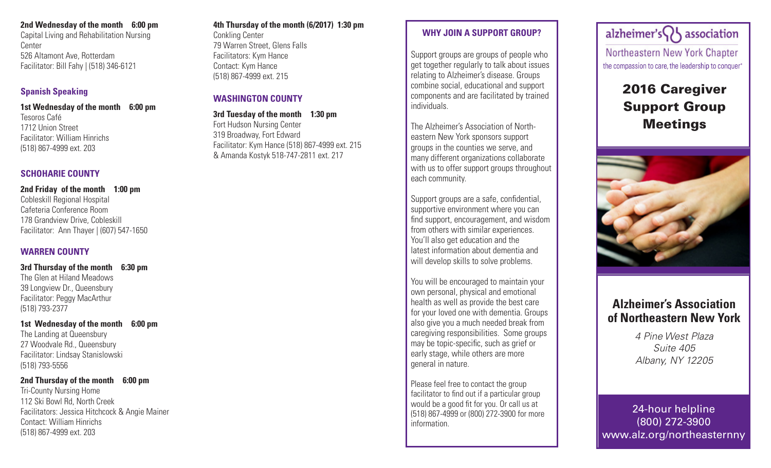#### **2nd Wednesday of the month 6:00 pm**

Capital Living and Rehabilitation Nursing Center 526 Altamont Ave, Rotterdam Facilitator: Bill Fahy | (518) 346-6121

### **Spanish Speaking**

#### **1st Wednesday of the month 6:00 pm**

Tesoros Café 1712 Union Street Facilitator: William Hinrichs (518) 867-4999 ext. 203

### **SCHOHARIE COUNTY**

**2nd Friday of the month 1:00 pm** Cobleskill Regional Hospital Cafeteria Conference Room 178 Grandview Drive, Cobleskill Facilitator: Ann Thayer | (607) 547-1650

### **WARREN COUNTY**

**3rd Thursday of the month 6:30 pm** The Glen at Hiland Meadows 39 Longview Dr., Queensbury Facilitator: Peggy MacArthur (518) 793-2377

**1st Wednesday of the month 6:00 pm** The Landing at Queensbury 27 Woodvale Rd., Queensbury Facilitator: Lindsay Stanislowski (518) 793-5556

#### **2nd Thursday of the month 6:00 pm**

Tri-County Nursing Home 112 Ski Bowl Rd, North Creek Facilitators: Jessica Hitchcock & Angie Mainer Contact: William Hinrichs (518) 867-4999 ext. 203

### **4th Thursday of the month (6/2017) 1:30 pm**

Conkling Center 79 Warren Street, Glens Falls Facilitators: Kym Hance Contact: Kym Hance (518) 867-4999 ext. 215

### **WASHINGTON COUNTY**

**3rd Tuesday of the month 1:30 pm** Fort Hudson Nursing Center 319 Broadway, Fort Edward Facilitator: Kym Hance (518) 867-4999 ext. 215 & Amanda Kostyk 518-747-2811 ext. 217

### **WHY JOIN A SUPPORT GROUP?**

Support groups are groups of people who get together regularly to talk about issues relating to Alzheimer's disease. Groups combine social, educational and support components and are facilitated by trained individuals.

The Alzheimer's Association of Northeastern New York sponsors support groups in the counties we serve, and many different organizations collaborate with us to offer support groups throughout each community.

Support groups are a safe, confidential, supportive environment where you can find support, encouragement, and wisdom from others with similar experiences. You'll also get education and the latest information about dementia and will develop skills to solve problems.

You will be encouraged to maintain your own personal, physical and emotional health as well as provide the best care for your loved one with dementia. Groups also give you a much needed break from caregiving responsibilities. Some groups may be topic-specific, such as grief or early stage, while others are more general in nature.

Please feel free to contact the group facilitator to find out if a particular group would be a good fit for you. Or call us at (518) 867-4999 or (800) 272-3900 for more information.

alzheimer's $\bigcap$  association Northeastern New York Chapter the compassion to care, the leadership to conquer\*

# 2016 Caregiver Support Group Meetings



## **Alzheimer's Association of Northeastern New York**

*4 Pine West Plaza Suite 405 Albany, NY 12205*

24-hour helpline (800) 272-3900 www.alz.org/northeasternny